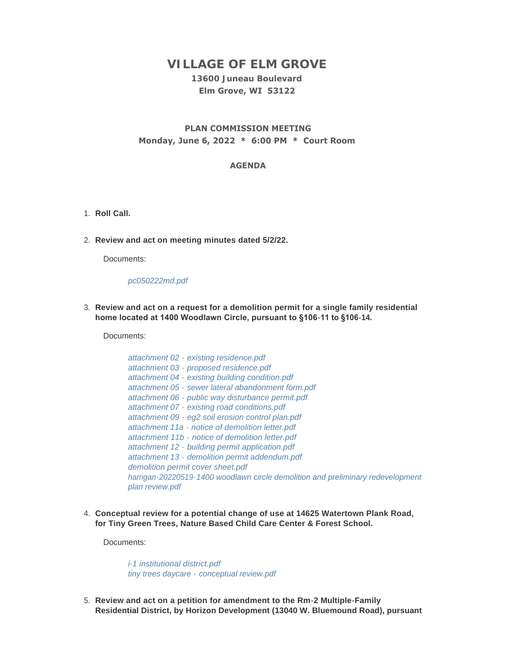# **VILLAGE OF ELM GROVE**

## **13600 Juneau Boulevard Elm Grove, WI 53122**

### **PLAN COMMISSION MEETING Monday, June 6, 2022 \* 6:00 PM \* Court Room**

#### **AGENDA**

- 1. Roll Call.
- **Review and act on meeting minutes dated 5/2/22.** 2.

Documents:

*[pc050222md.pdf](https://elmgrovewi.org/AgendaCenter/ViewFile/Item/11977?fileID=19147)*

**Review and act on a request for a demolition permit for a single family residential**  3. **home located at 1400 Woodlawn Circle, pursuant to §106-11 to §106-14.**

Documents:

- *attachment 02 - [existing residence.pdf](https://elmgrovewi.org/AgendaCenter/ViewFile/Item/11978?fileID=19148) attachment 03 - [proposed residence.pdf](https://elmgrovewi.org/AgendaCenter/ViewFile/Item/11978?fileID=19149) attachment 04 - [existing building condition.pdf](https://elmgrovewi.org/AgendaCenter/ViewFile/Item/11978?fileID=19150) attachment 05 - [sewer lateral abandonment form.pdf](https://elmgrovewi.org/AgendaCenter/ViewFile/Item/11978?fileID=19151) attachment 06 - [public way disturbance permit.pdf](https://elmgrovewi.org/AgendaCenter/ViewFile/Item/11978?fileID=19152) attachment 07 - [existing road conditions.pdf](https://elmgrovewi.org/AgendaCenter/ViewFile/Item/11978?fileID=19153) attachment 09 - [eg2 soil erosion control plan.pdf](https://elmgrovewi.org/AgendaCenter/ViewFile/Item/11978?fileID=19154) attachment 11a - [notice of demolition letter.pdf](https://elmgrovewi.org/AgendaCenter/ViewFile/Item/11978?fileID=19155) attachment 11b - [notice of demolition letter.pdf](https://elmgrovewi.org/AgendaCenter/ViewFile/Item/11978?fileID=19156) attachment 12 - [building permit application.pdf](https://elmgrovewi.org/AgendaCenter/ViewFile/Item/11978?fileID=19157) attachment 13 - [demolition permit addendum.pdf](https://elmgrovewi.org/AgendaCenter/ViewFile/Item/11978?fileID=19158) [demolition permit cover sheet.pdf](https://elmgrovewi.org/AgendaCenter/ViewFile/Item/11978?fileID=19159) [harrigan-20220519-1400 woodlawn circle demolition and preliminary redevelopment](https://elmgrovewi.org/AgendaCenter/ViewFile/Item/11978?fileID=19160)  plan review.pdf*
- **Conceptual review for a potential change of use at 14625 Watertown Plank Road,**  4. **for Tiny Green Trees, Nature Based Child Care Center & Forest School.**

Documents:

*[i-1 institutional district.pdf](https://elmgrovewi.org/AgendaCenter/ViewFile/Item/11979?fileID=19161) tiny trees daycare - [conceptual review.pdf](https://elmgrovewi.org/AgendaCenter/ViewFile/Item/11979?fileID=19162)*

**Review and act on a petition for amendment to the Rm-2 Multiple-Family**  5. **Residential District, by Horizon Development (13040 W. Bluemound Road), pursuant**